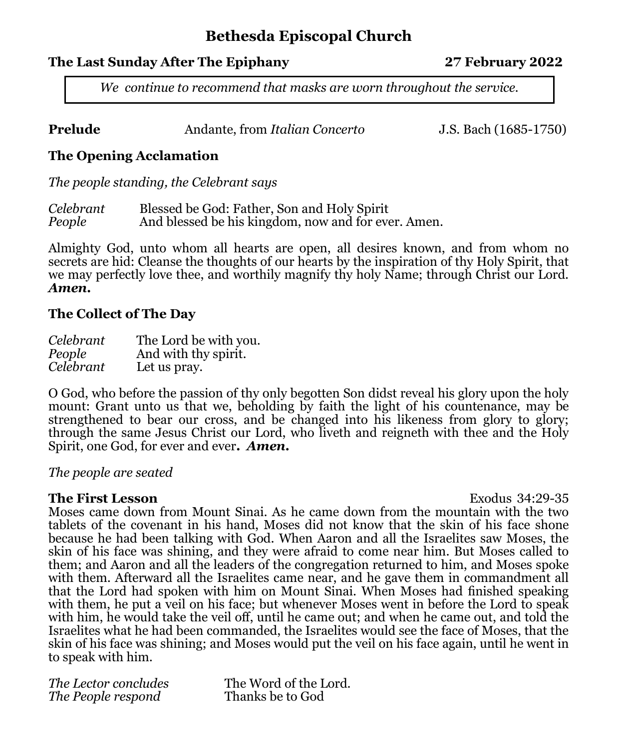# **Bethesda Episcopal Church**

# **The Last Sunday After The Epiphany 27 February 2022**

*We continue to recommend that masks are worn throughout the service.* 

| Prelude | Andante, from Italian Concerto |
|---------|--------------------------------|
|---------|--------------------------------|

**J.S. Bach (1685-1750)** 

# **The Opening Acclamation**

*The people standing, the Celebrant says*

| Celebrant | Blessed be God: Father, Son and Holy Spirit         |
|-----------|-----------------------------------------------------|
| People    | And blessed be his kingdom, now and for ever. Amen. |

Almighty God, unto whom all hearts are open, all desires known, and from whom no secrets are hid: Cleanse the thoughts of our hearts by the inspiration of thy Holy Spirit, that we may perfectly love thee, and worthily magnify thy holy Name; through Christ our Lord. *Amen.* 

#### **The Collect of The Day**

| Celebrant | The Lord be with you. |
|-----------|-----------------------|
| People    | And with thy spirit.  |
| Celebrant | Let us pray.          |

O God, who before the passion of thy only begotten Son didst reveal his glory upon the holy mount: Grant unto us that we, beholding by faith the light of his countenance, may be strengthened to bear our cross, and be changed into his likeness from glory to glory; through the same Jesus Christ our Lord, who liveth and reigneth with thee and the Holy Spirit, one God, for ever and ever**.** *Amen.* 

## *The people are seated*

#### **The First Lesson Exodus 34:29-35**

Moses came down from Mount Sinai. As he came down from the mountain with the two tablets of the covenant in his hand, Moses did not know that the skin of his face shone because he had been talking with God. When Aaron and all the Israelites saw Moses, the skin of his face was shining, and they were afraid to come near him. But Moses called to them; and Aaron and all the leaders of the congregation returned to him, and Moses spoke with them. Afterward all the Israelites came near, and he gave them in commandment all that the Lord had spoken with him on Mount Sinai. When Moses had finished speaking with them, he put a veil on his face; but whenever Moses went in before the Lord to speak with him, he would take the veil off, until he came out; and when he came out, and told the Israelites what he had been commanded, the Israelites would see the face of Moses, that the skin of his face was shining; and Moses would put the veil on his face again, until he went in to speak with him.

*The Lector concludes* The Word of the Lord. *The People respond* Thanks be to God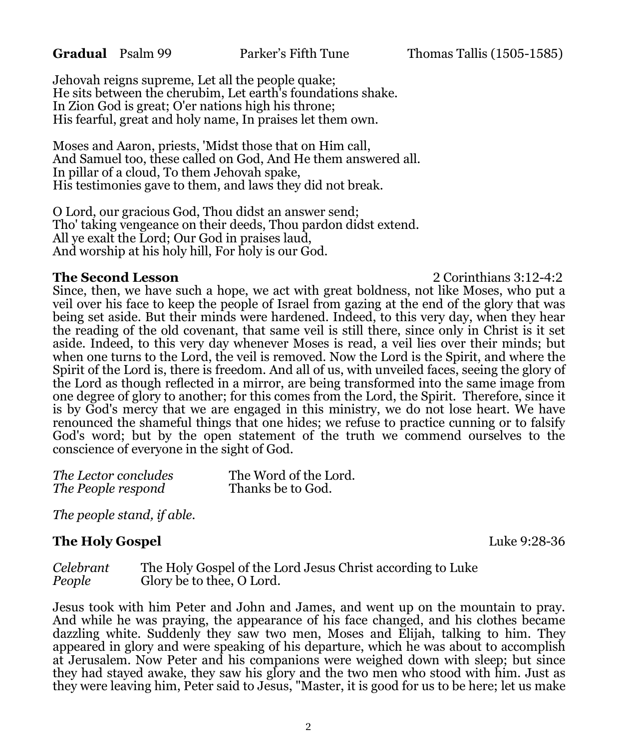Jehovah reigns supreme, Let all the people quake; He sits between the cherubim, Let earth's foundations shake. In Zion God is great; O'er nations high his throne; His fearful, great and holy name, In praises let them own.

Moses and Aaron, priests, 'Midst those that on Him call, And Samuel too, these called on God, And He them answered all. In pillar of a cloud, To them Jehovah spake, His testimonies gave to them, and laws they did not break.

O Lord, our gracious God, Thou didst an answer send; Tho' taking vengeance on their deeds, Thou pardon didst extend. All ye exalt the Lord; Our God in praises laud, And worship at his holy hill, For holy is our God.

#### **The Second Lesson** 2 Corinthians 3:12-4:2

Since, then, we have such a hope, we act with great boldness, not like Moses, who put a veil over his face to keep the people of Israel from gazing at the end of the glory that was being set aside. But their minds were hardened. Indeed, to this very day, when they hear the reading of the old covenant, that same veil is still there, since only in Christ is it set aside. Indeed, to this very day whenever Moses is read, a veil lies over their minds; but when one turns to the Lord, the veil is removed. Now the Lord is the Spirit, and where the Spirit of the Lord is, there is freedom. And all of us, with unveiled faces, seeing the glory of the Lord as though reflected in a mirror, are being transformed into the same image from one degree of glory to another; for this comes from the Lord, the Spirit. Therefore, since it is by God's mercy that we are engaged in this ministry, we do not lose heart. We have renounced the shameful things that one hides; we refuse to practice cunning or to falsify God's word; but by the open statement of the truth we commend ourselves to the conscience of everyone in the sight of God.

| The Lector concludes | The Word of the Lord. |
|----------------------|-----------------------|
| The People respond   | Thanks be to God.     |

*The people stand, if able.*

#### **The Holy Gospel Luke 9:28-36**

*Celebrant* The Holy Gospel of the Lord Jesus Christ according to Luke *People* Glory be to thee, O Lord.

Jesus took with him Peter and John and James, and went up on the mountain to pray. And while he was praying, the appearance of his face changed, and his clothes became dazzling white. Suddenly they saw two men, Moses and Elijah, talking to him. They appeared in glory and were speaking of his departure, which he was about to accomplish at Jerusalem. Now Peter and his companions were weighed down with sleep; but since they had stayed awake, they saw his glory and the two men who stood with him. Just as they were leaving him, Peter said to Jesus, "Master, it is good for us to be here; let us make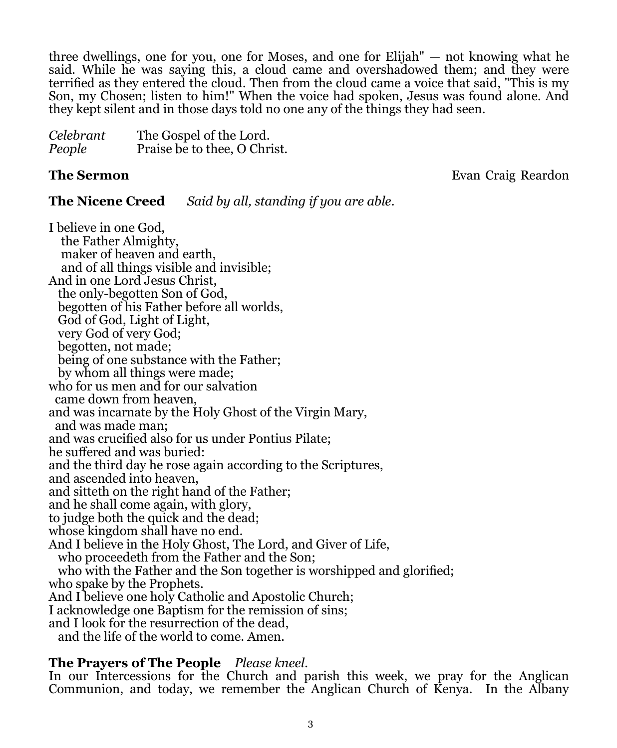three dwellings, one for you, one for Moses, and one for Elijah" — not knowing what he said. While he was saying this, a cloud came and overshadowed them; and they were terrified as they entered the cloud. Then from the cloud came a voice that said, "This is my Son, my Chosen; listen to him!" When the voice had spoken, Jesus was found alone. And they kept silent and in those days told no one any of the things they had seen.

| Celebrant | The Gospel of the Lord.      |
|-----------|------------------------------|
| People    | Praise be to thee, O Christ. |

**The Sermon Evan Craig Reardon Evan Craig Reardon** 

**The Nicene Creed** *Said by all, standing if you are able.*

I believe in one God, the Father Almighty, maker of heaven and earth, and of all things visible and invisible; And in one Lord Jesus Christ, the only-begotten Son of God, begotten of his Father before all worlds, God of God, Light of Light, very God of very God; begotten, not made; being of one substance with the Father; by whom all things were made; who for us men and for our salvation came down from heaven, and was incarnate by the Holy Ghost of the Virgin Mary, and was made man; and was crucified also for us under Pontius Pilate; he suffered and was buried: and the third day he rose again according to the Scriptures, and ascended into heaven, and sitteth on the right hand of the Father; and he shall come again, with glory, to judge both the quick and the dead; whose kingdom shall have no end. And I believe in the Holy Ghost, The Lord, and Giver of Life, who proceedeth from the Father and the Son; who with the Father and the Son together is worshipped and glorified; who spake by the Prophets. And I believe one holy Catholic and Apostolic Church; I acknowledge one Baptism for the remission of sins; and I look for the resurrection of the dead, and the life of the world to come. Amen.

#### **The Prayers of The People** *Please kneel.*

In our Intercessions for the Church and parish this week, we pray for the Anglican Communion, and today, we remember the Anglican Church of Kenya. In the Albany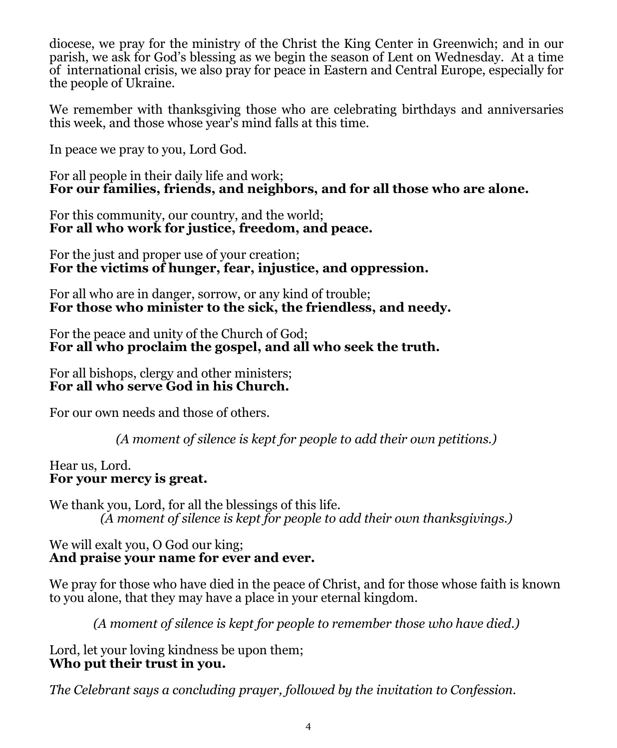diocese, we pray for the ministry of the Christ the King Center in Greenwich; and in our parish, we ask for God's blessing as we begin the season of Lent on Wednesday. At a time of international crisis, we also pray for peace in Eastern and Central Europe, especially for the people of Ukraine.

We remember with thanksgiving those who are celebrating birthdays and anniversaries this week, and those whose year's mind falls at this time.

In peace we pray to you, Lord God.

For all people in their daily life and work; **For our families, friends, and neighbors, and for all those who are alone.** 

For this community, our country, and the world; **For all who work for justice, freedom, and peace.** 

For the just and proper use of your creation; **For the victims of hunger, fear, injustice, and oppression.** 

For all who are in danger, sorrow, or any kind of trouble; **For those who minister to the sick, the friendless, and needy.** 

For the peace and unity of the Church of God; **For all who proclaim the gospel, and all who seek the truth.** 

For all bishops, clergy and other ministers; **For all who serve God in his Church.** 

For our own needs and those of others.

*(A moment of silence is kept for people to add their own petitions.)*

Hear us, Lord. **For your mercy is great.** 

We thank you, Lord, for all the blessings of this life. *(A moment of silence is kept for people to add their own thanksgivings.)*

#### We will exalt you, O God our king; **And praise your name for ever and ever.**

We pray for those who have died in the peace of Christ, and for those whose faith is known to you alone, that they may have a place in your eternal kingdom.

*(A moment of silence is kept for people to remember those who have died.)*

Lord, let your loving kindness be upon them; **Who put their trust in you.**

*The Celebrant says a concluding prayer, followed by the invitation to Confession.*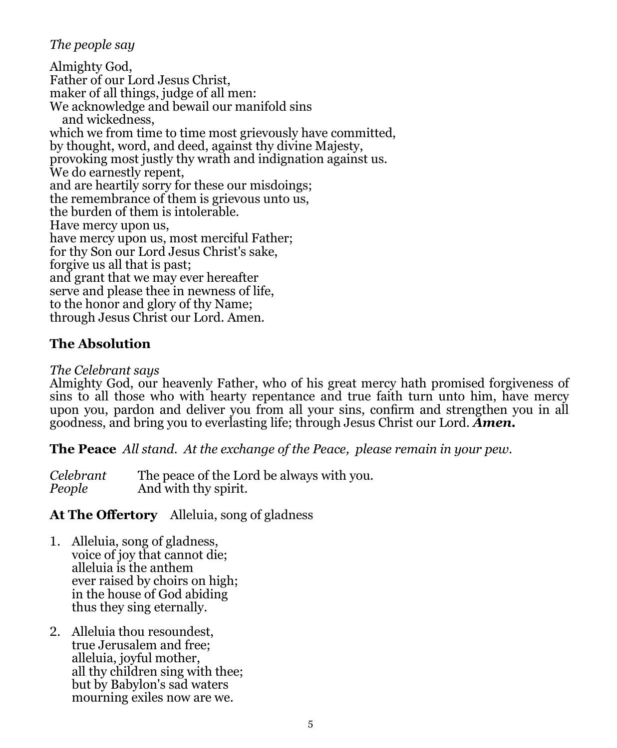## *The people say*

Almighty God, Father of our Lord Jesus Christ, maker of all things, judge of all men: We acknowledge and bewail our manifold sins and wickedness, which we from time to time most grievously have committed, by thought, word, and deed, against thy divine Majesty, provoking most justly thy wrath and indignation against us. We do earnestly repent, and are heartily sorry for these our misdoings; the remembrance of them is grievous unto us, the burden of them is intolerable. Have mercy upon us, have mercy upon us, most merciful Father; for thy Son our Lord Jesus Christ's sake, forgive us all that is past; and grant that we may ever hereafter serve and please thee in newness of life, to the honor and glory of thy Name; through Jesus Christ our Lord. Amen.

# **The Absolution**

#### *The Celebrant says*

Almighty God, our heavenly Father, who of his great mercy hath promised forgiveness of sins to all those who with hearty repentance and true faith turn unto him, have mercy upon you, pardon and deliver you from all your sins, confirm and strengthen you in all goodness, and bring you to everlasting life; through Jesus Christ our Lord. *Amen.* 

**The Peace** *All stand. At the exchange of the Peace, please remain in your pew.* 

*Celebrant* The peace of the Lord be always with you. And with thy spirit.

# **At The Offertory** Alleluia, song of gladness

- 1. Alleluia, song of gladness, voice of joy that cannot die; alleluia is the anthem ever raised by choirs on high; in the house of God abiding thus they sing eternally.
- 2. Alleluia thou resoundest, true Jerusalem and free; alleluia, joyful mother, all thy children sing with thee; but by Babylon's sad waters mourning exiles now are we.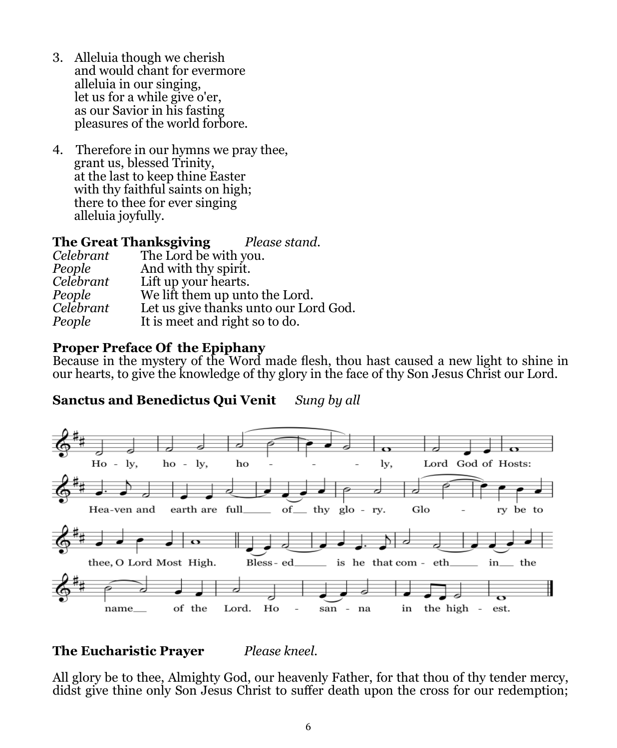- 3. Alleluia though we cherish and would chant for evermore alleluia in our singing, let us for a while give o'er, as our Savior in his fasting pleasures of the world forbore.
- 4. Therefore in our hymns we pray thee, grant us, blessed Trinity, at the last to keep thine Easter with thy faithful saints on high; there to thee for ever singing alleluia joyfully.

#### **The Great Thanksgiving** *Please stand.*

| Celebrant | The Lord be with you.                 |
|-----------|---------------------------------------|
| People    | And with thy spirit.                  |
| Celebrant | Lift up your hearts.                  |
| People    | We lift them up unto the Lord.        |
| Celebrant | Let us give thanks unto our Lord God. |
| People    | It is meet and right so to do.        |
|           |                                       |

#### **Proper Preface Of the Epiphany**

Because in the mystery of the Word made flesh, thou hast caused a new light to shine in our hearts, to give the knowledge of thy glory in the face of thy Son Jesus Christ our Lord.

## **Sanctus and Benedictus Qui Venit** *Sung by all*



#### **The Eucharistic Prayer** *Please kneel.*

All glory be to thee, Almighty God, our heavenly Father, for that thou of thy tender mercy, didst give thine only Son Jesus Christ to suffer death upon the cross for our redemption;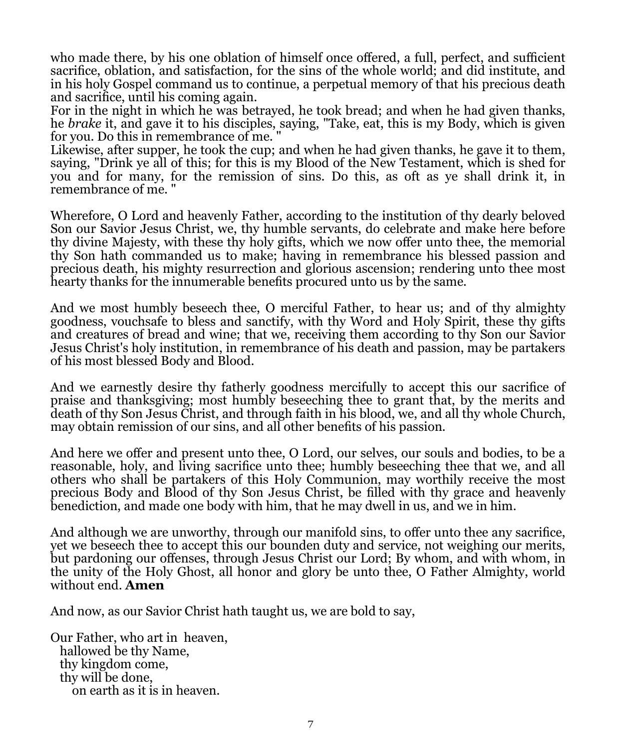who made there, by his one oblation of himself once offered, a full, perfect, and sufficient sacrifice, oblation, and satisfaction, for the sins of the whole world; and did institute, and in his holy Gospel command us to continue, a perpetual memory of that his precious death and sacrifice, until his coming again.

For in the night in which he was betrayed, he took bread; and when he had given thanks, he *brake* it, and gave it to his disciples, saying, "Take, eat, this is my Body, which is given for you. Do this in remembrance of me. "

Likewise, after supper, he took the cup; and when he had given thanks, he gave it to them, saying, "Drink ye all of this; for this is my Blood of the New Testament, which is shed for you and for many, for the remission of sins. Do this, as oft as ye shall drink it, in remembrance of me. "

Wherefore, O Lord and heavenly Father, according to the institution of thy dearly beloved Son our Savior Jesus Christ, we, thy humble servants, do celebrate and make here before thy divine Majesty, with these thy holy gifts, which we now offer unto thee, the memorial thy Son hath commanded us to make; having in remembrance his blessed passion and precious death, his mighty resurrection and glorious ascension; rendering unto thee most hearty thanks for the innumerable benefits procured unto us by the same.

And we most humbly beseech thee, O merciful Father, to hear us; and of thy almighty goodness, vouchsafe to bless and sanctify, with thy Word and Holy Spirit, these thy gifts and creatures of bread and wine; that we, receiving them according to thy Son our Savior Jesus Christ's holy institution, in remembrance of his death and passion, may be partakers of his most blessed Body and Blood.

And we earnestly desire thy fatherly goodness mercifully to accept this our sacrifice of praise and thanksgiving; most humbly beseeching thee to grant that, by the merits and death of thy Son Jesus Christ, and through faith in his blood, we, and all thy whole Church, may obtain remission of our sins, and all other benefits of his passion.

And here we offer and present unto thee, O Lord, our selves, our souls and bodies, to be a reasonable, holy, and living sacrifice unto thee; humbly beseeching thee that we, and all others who shall be partakers of this Holy Communion, may worthily receive the most precious Body and Blood of thy Son Jesus Christ, be filled with thy grace and heavenly benediction, and made one body with him, that he may dwell in us, and we in him.

And although we are unworthy, through our manifold sins, to offer unto thee any sacrifice, yet we beseech thee to accept this our bounden duty and service, not weighing our merits, but pardoning our offenses, through Jesus Christ our Lord; By whom, and with whom, in the unity of the Holy Ghost, all honor and glory be unto thee, O Father Almighty, world without end. **Amen**

And now, as our Savior Christ hath taught us, we are bold to say,

Our Father, who art in heaven, hallowed be thy Name, thy kingdom come, thy will be done, on earth as it is in heaven.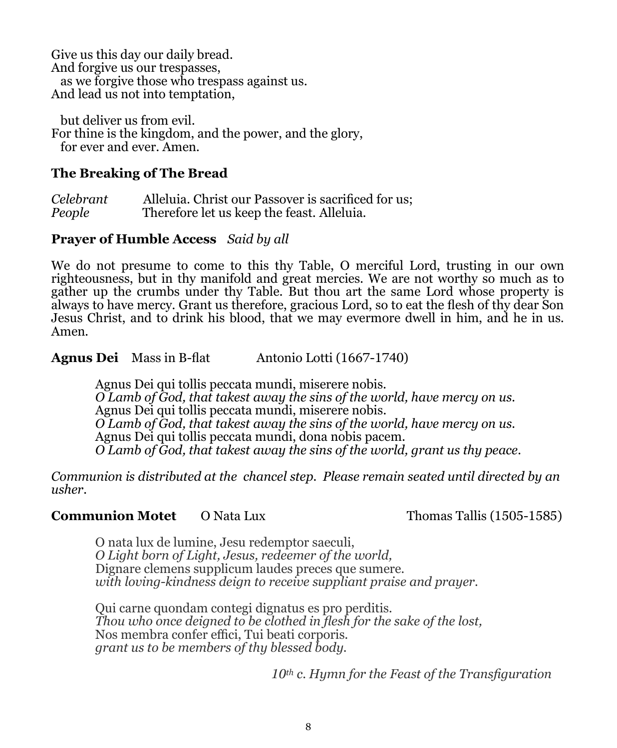Give us this day our daily bread. And forgive us our trespasses, as we forgive those who trespass against us. And lead us not into temptation,

 but deliver us from evil. For thine is the kingdom, and the power, and the glory, for ever and ever. Amen.

#### **The Breaking of The Bread**

*Celebrant* Alleluia. Christ our Passover is sacrificed for us; *People* Therefore let us keep the feast. Alleluia.

#### **Prayer of Humble Access** *Said by all*

We do not presume to come to this thy Table, O merciful Lord, trusting in our own righteousness, but in thy manifold and great mercies. We are not worthy so much as to gather up the crumbs under thy Table. But thou art the same Lord whose property is always to have mercy. Grant us therefore, gracious Lord, so to eat the flesh of thy dear Son Jesus Christ, and to drink his blood, that we may evermore dwell in him, and he in us. Amen*.*

**Agnus Dei** Mass in B-flat Antonio Lotti (1667-1740)

Agnus Dei qui tollis peccata mundi, miserere nobis. *O Lamb of God, that takest away the sins of the world, have mercy on us.* Agnus Dei qui tollis peccata mundi, miserere nobis. *O Lamb of God, that takest away the sins of the world, have mercy on us.* Agnus Dei qui tollis peccata mundi, dona nobis pacem. *O Lamb of God, that takest away the sins of the world, grant us thy peace.*

*Communion is distributed at the chancel step. Please remain seated until directed by an usher.*

#### **Communion Motet** O Nata Lux Thomas Tallis (1505-1585)

O nata lux de lumine, Jesu redemptor saeculi, *O Light born of Light, Jesus, redeemer of the world,* Dignare clemens supplicum laudes preces que sumere. *with loving-kindness deign to receive suppliant praise and prayer.*

Qui carne quondam contegi dignatus es pro perditis. *Thou who once deigned to be clothed in flesh for the sake of the lost,* Nos membra confer effici, Tui beati corporis. *grant us to be members of thy blessed body.*

*10th c. Hymn for the Feast of the Transfiguration*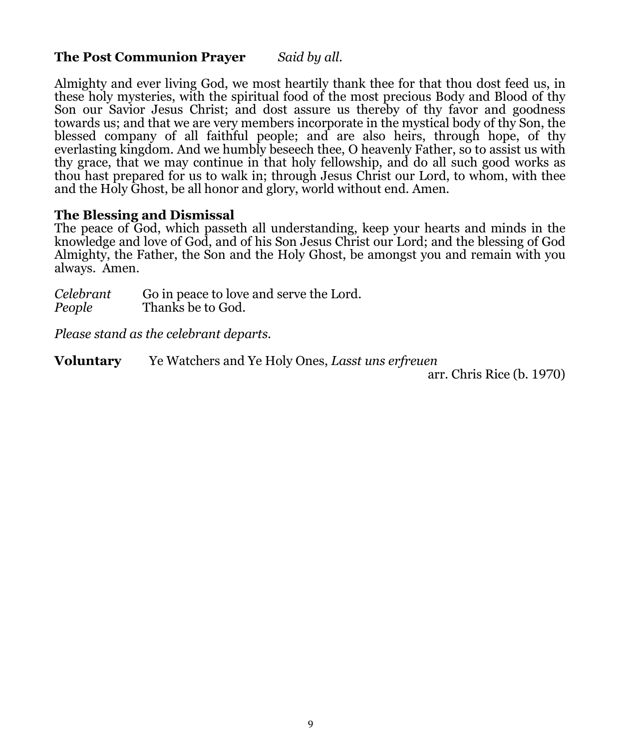#### **The Post Communion Prayer** *Said by all.*

Almighty and ever living God, we most heartily thank thee for that thou dost feed us, in these holy mysteries, with the spiritual food of the most precious Body and Blood of thy Son our Savior Jesus Christ; and dost assure us thereby of thy favor and goodness towards us; and that we are very members incorporate in the mystical body of thy Son, the blessed company of all faithful people; and are also heirs, through hope, of thy everlasting kingdom. And we humbly beseech thee, O heavenly Father, so to assist us with thy grace, that we may continue in that holy fellowship, and do all such good works as thou hast prepared for us to walk in; through Jesus Christ our Lord, to whom, with thee and the Holy Ghost, be all honor and glory, world without end. Amen.

#### **The Blessing and Dismissal**

The peace of God, which passeth all understanding, keep your hearts and minds in the knowledge and love of God, and of his Son Jesus Christ our Lord; and the blessing of God Almighty, the Father, the Son and the Holy Ghost, be amongst you and remain with you always. Amen.

| Celebrant | Go in peace to love and serve the Lord. |
|-----------|-----------------------------------------|
| People    | Thanks be to God.                       |

*Please stand as the celebrant departs.*

**Voluntary** Ye Watchers and Ye Holy Ones, *Lasst uns erfreuen* 

arr. Chris Rice (b. 1970)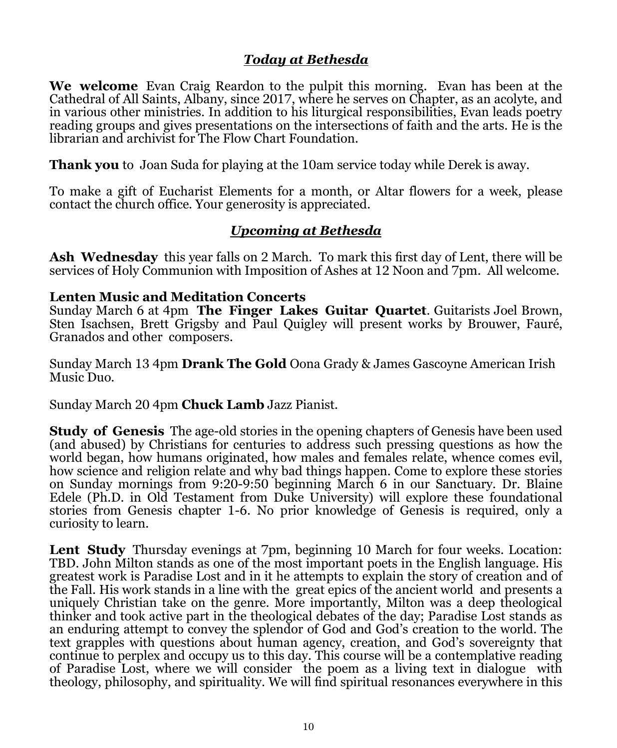## *Today at Bethesda*

**We welcome** Evan Craig Reardon to the pulpit this morning. Evan has been at the Cathedral of All Saints, Albany, since 2017, where he serves on Chapter, as an acolyte, and in various other ministries. In addition to his liturgical responsibilities, Evan leads poetry reading groups and gives presentations on the intersections of faith and the arts. He is the librarian and archivist for The Flow Chart Foundation.

**Thank you** to Joan Suda for playing at the 10am service today while Derek is away.

To make a gift of Eucharist Elements for a month, or Altar flowers for a week, please contact the church office. Your generosity is appreciated.

## *Upcoming at Bethesda*

**Ash Wednesday** this year falls on 2 March. To mark this first day of Lent, there will be services of Holy Communion with Imposition of Ashes at 12 Noon and 7pm. All welcome.

#### **Lenten Music and Meditation Concerts**

Sunday March 6 at 4pm **The Finger Lakes Guitar Quartet**. Guitarists Joel Brown, Sten Isachsen, Brett Grigsby and Paul Quigley will present works by Brouwer, Fauré, Granados and other composers.

Sunday March 13 4pm **Drank The Gold** Oona Grady & James Gascoyne American Irish Music Duo.

Sunday March 20 4pm **Chuck Lamb** Jazz Pianist.

**Study of Genesis** The age-old stories in the opening chapters of Genesis have been used (and abused) by Christians for centuries to address such pressing questions as how the world began, how humans originated, how males and females relate, whence comes evil, how science and religion relate and why bad things happen. Come to explore these stories on Sunday mornings from 9:20-9:50 beginning March 6 in our Sanctuary. Dr. Blaine Edele (Ph.D. in Old Testament from Duke University) will explore these foundational stories from Genesis chapter 1-6. No prior knowledge of Genesis is required, only a curiosity to learn.

Lent Study Thursday evenings at 7pm, beginning 10 March for four weeks. Location: TBD. John Milton stands as one of the most important poets in the English language. His greatest work is Paradise Lost and in it he attempts to explain the story of creation and of the Fall. His work stands in a line with the great epics of the ancient world and presents a uniquely Christian take on the genre. More importantly, Milton was a deep theological thinker and took active part in the theological debates of the day; Paradise Lost stands as an enduring attempt to convey the splendor of God and God's creation to the world. The text grapples with questions about human agency, creation, and God's sovereignty that continue to perplex and occupy us to this day. This course will be a contemplative reading of Paradise Lost, where we will consider the poem as a living text in dialogue with theology, philosophy, and spirituality. We will find spiritual resonances everywhere in this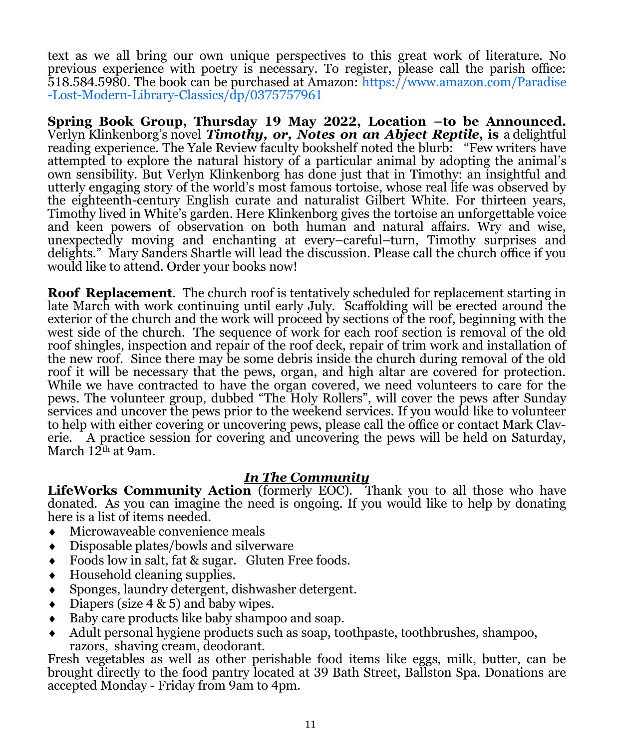text as we all bring our own unique perspectives to this great work of literature. No previous experience with poetry is necessary. To register, please call the parish office: 518.584.5980. The book can be purchased at Amazon: [https://www.amazon.com/Paradise](https://www.amazon.com/Paradise-Lost-Modern-Library-Classics/dp/0375757961) -Lost-Modern-Library-[Classics/dp/0375757961](https://www.amazon.com/Paradise-Lost-Modern-Library-Classics/dp/0375757961)

**Spring Book Group, Thursday 19 May 2022, Location –to be Announced.**  Verlyn Klinkenborg's novel *Timothy, or, Notes on an Abject Reptile***, is** a delightful reading experience. The Yale Review faculty bookshelf noted the blurb: "Few writers have attempted to explore the natural history of a particular animal by adopting the animal's own sensibility. But Verlyn Klinkenborg has done just that in Timothy: an insightful and utterly engaging story of the world's most famous tortoise, whose real life was observed by the eighteenth-century English curate and naturalist Gilbert White. For thirteen years, Timothy lived in White's garden. Here Klinkenborg gives the tortoise an unforgettable voice and keen powers of observation on both human and natural affairs. Wry and wise, unexpectedly moving and enchanting at every–careful–turn, Timothy surprises and delights." Mary Sanders Shartle will lead the discussion. Please call the church office if you would like to attend. Order your books now!

**Roof Replacement**. The church roof is tentatively scheduled for replacement starting in late March with work continuing until early July. Scaffolding will be erected around the exterior of the church and the work will proceed by sections of the roof, beginning with the west side of the church. The sequence of work for each roof section is removal of the old roof shingles, inspection and repair of the roof deck, repair of trim work and installation of the new roof. Since there may be some debris inside the church during removal of the old roof it will be necessary that the pews, organ, and high altar are covered for protection. While we have contracted to have the organ covered, we need volunteers to care for the pews. The volunteer group, dubbed "The Holy Rollers", will cover the pews after Sunday services and uncover the pews prior to the weekend services. If you would like to volunteer to help with either covering or uncovering pews, please call the office or contact Mark Claverie. A practice session for covering and uncovering the pews will be held on Saturday, March  $12<sup>th</sup>$  at 9am.

#### *In The Community*

**LifeWorks Community Action** (formerly EOC). Thank you to all those who have donated. As you can imagine the need is ongoing. If you would like to help by donating here is a list of items needed.

- Microwaveable convenience meals
- Disposable plates/bowls and silverware
- Foods low in salt, fat & sugar. Gluten Free foods.
- Household cleaning supplies.
- Sponges, laundry detergent, dishwasher detergent.
- $\bullet$  Diapers (size 4 & 5) and baby wipes.
- Baby care products like baby shampoo and soap.
- Adult personal hygiene products such as soap, toothpaste, toothbrushes, shampoo, razors, shaving cream, deodorant.

Fresh vegetables as well as other perishable food items like eggs, milk, butter, can be brought directly to the food pantry located at 39 Bath Street, Ballston Spa. Donations are accepted Monday - Friday from 9am to 4pm.